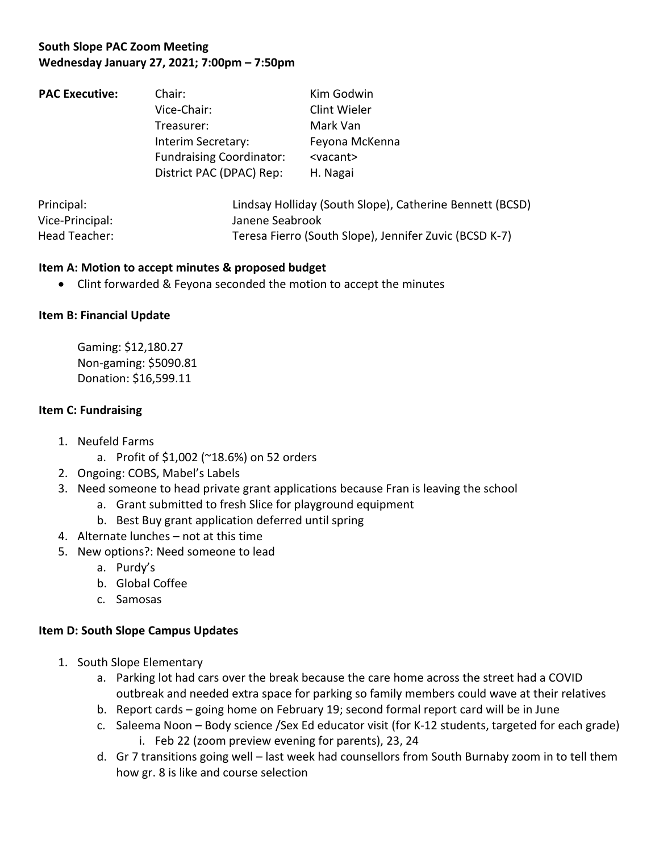# **South Slope PAC Zoom Meeting Wednesday January 27, 2021; 7:00pm – 7:50pm**

| <b>PAC Executive:</b> | Chair:                                                                                                         | Kim Godwin                                                                   |                 |                                                          |  |
|-----------------------|----------------------------------------------------------------------------------------------------------------|------------------------------------------------------------------------------|-----------------|----------------------------------------------------------|--|
|                       | Vice-Chair:<br>Treasurer:<br>Interim Secretary:<br><b>Fundraising Coordinator:</b><br>District PAC (DPAC) Rep: | Clint Wieler<br>Mark Van<br>Feyona McKenna<br><vacant><br/>H. Nagai</vacant> |                 |                                                          |  |
|                       |                                                                                                                |                                                                              | Principal:      | Lindsay Holliday (South Slope), Catherine Bennett (BCSD) |  |
|                       |                                                                                                                |                                                                              | Vice-Principal: | Janene Seabrook                                          |  |

Head Teacher: Teresa Fierro (South Slope), Jennifer Zuvic (BCSD K-7)

### **Item A: Motion to accept minutes & proposed budget**

• Clint forwarded & Feyona seconded the motion to accept the minutes

### **Item B: Financial Update**

Gaming: \$12,180.27 Non-gaming: \$5090.81 Donation: \$16,599.11

#### **Item C: Fundraising**

- 1. Neufeld Farms
	- a. Profit of \$1,002 (~18.6%) on 52 orders
- 2. Ongoing: COBS, Mabel's Labels
- 3. Need someone to head private grant applications because Fran is leaving the school
	- a. Grant submitted to fresh Slice for playground equipment
	- b. Best Buy grant application deferred until spring
- 4. Alternate lunches not at this time
- 5. New options?: Need someone to lead
	- a. Purdy's
	- b. Global Coffee
	- c. Samosas

## **Item D: South Slope Campus Updates**

- 1. South Slope Elementary
	- a. Parking lot had cars over the break because the care home across the street had a COVID outbreak and needed extra space for parking so family members could wave at their relatives
	- b. Report cards going home on February 19; second formal report card will be in June
	- c. Saleema Noon Body science /Sex Ed educator visit (for K-12 students, targeted for each grade) i. Feb 22 (zoom preview evening for parents), 23, 24
	- d. Gr 7 transitions going well last week had counsellors from South Burnaby zoom in to tell them how gr. 8 is like and course selection